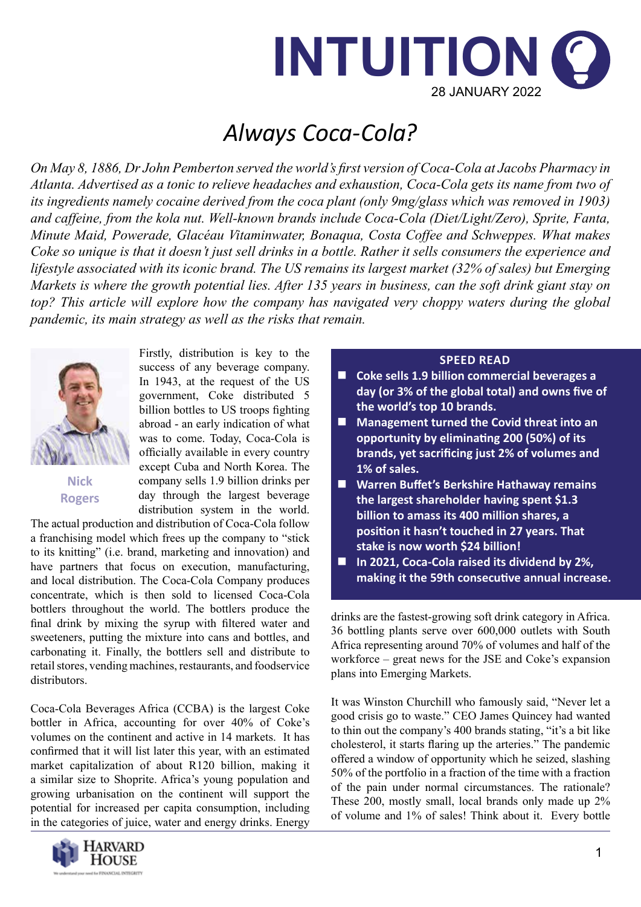

# *Always Coca-Cola?*

*On May 8, 1886, Dr John Pemberton served the world's first version of Coca-Cola at Jacobs Pharmacy in Atlanta. Advertised as a tonic to relieve headaches and exhaustion, Coca-Cola gets its name from two of its ingredients namely cocaine derived from the coca plant (only 9mg/glass which was removed in 1903) and caffeine, from the kola nut. Well-known brands include Coca-Cola (Diet/Light/Zero), Sprite, Fanta, Minute Maid, Powerade, Glacéau Vitaminwater, Bonaqua, Costa Coffee and Schweppes. What makes Coke so unique is that it doesn't just sell drinks in a bottle. Rather it sells consumers the experience and lifestyle associated with its iconic brand. The US remains its largest market (32% of sales) but Emerging Markets is where the growth potential lies. After 135 years in business, can the soft drink giant stay on top? This article will explore how the company has navigated very choppy waters during the global pandemic, its main strategy as well as the risks that remain.* 



**Nick Rogers**

Firstly, distribution is key to the success of any beverage company. In 1943, at the request of the US government, Coke distributed 5 billion bottles to US troops fighting abroad - an early indication of what was to come. Today, Coca-Cola is officially available in every country except Cuba and North Korea. The company sells 1.9 billion drinks per day through the largest beverage distribution system in the world.

The actual production and distribution of Coca-Cola follow a franchising model which frees up the company to "stick to its knitting" (i.e. brand, marketing and innovation) and have partners that focus on execution, manufacturing, and local distribution. The Coca-Cola Company produces concentrate, which is then sold to licensed Coca-Cola bottlers throughout the world. The bottlers produce the final drink by mixing the syrup with filtered water and sweeteners, putting the mixture into cans and bottles, and carbonating it. Finally, the bottlers sell and distribute to retail stores, vending machines, restaurants, and foodservice distributors.

Coca-Cola Beverages Africa (CCBA) is the largest Coke bottler in Africa, accounting for over 40% of Coke's volumes on the continent and active in 14 markets. It has confirmed that it will list later this year, with an estimated market capitalization of about R120 billion, making it a similar size to Shoprite. Africa's young population and growing urbanisation on the continent will support the potential for increased per capita consumption, including in the categories of juice, water and energy drinks. Energy



### **SPEED READ**

- Coke sells 1.9 billion commercial beverages a **day (or 3% of the global total) and owns five of the world's top 10 brands.**
- Management turned the Covid threat into an **opportunity by eliminating 200 (50%) of its brands, yet sacrificing just 2% of volumes and 1% of sales.**
- **Warren Buffet's Berkshire Hathaway remains the largest shareholder having spent \$1.3 billion to amass its 400 million shares, a position it hasn't touched in 27 years. That stake is now worth \$24 billion!**
- In 2021, Coca-Cola raised its dividend by 2%, **making it the 59th consecutive annual increase.**

drinks are the fastest-growing soft drink category in Africa. 36 bottling plants serve over 600,000 outlets with South Africa representing around 70% of volumes and half of the workforce – great news for the JSE and Coke's expansion plans into Emerging Markets.

It was Winston Churchill who famously said, "Never let a good crisis go to waste." CEO James Quincey had wanted to thin out the company's 400 brands stating, "it's a bit like cholesterol, it starts flaring up the arteries." The pandemic offered a window of opportunity which he seized, slashing 50% of the portfolio in a fraction of the time with a fraction of the pain under normal circumstances. The rationale? These 200, mostly small, local brands only made up 2% of volume and 1% of sales! Think about it. Every bottle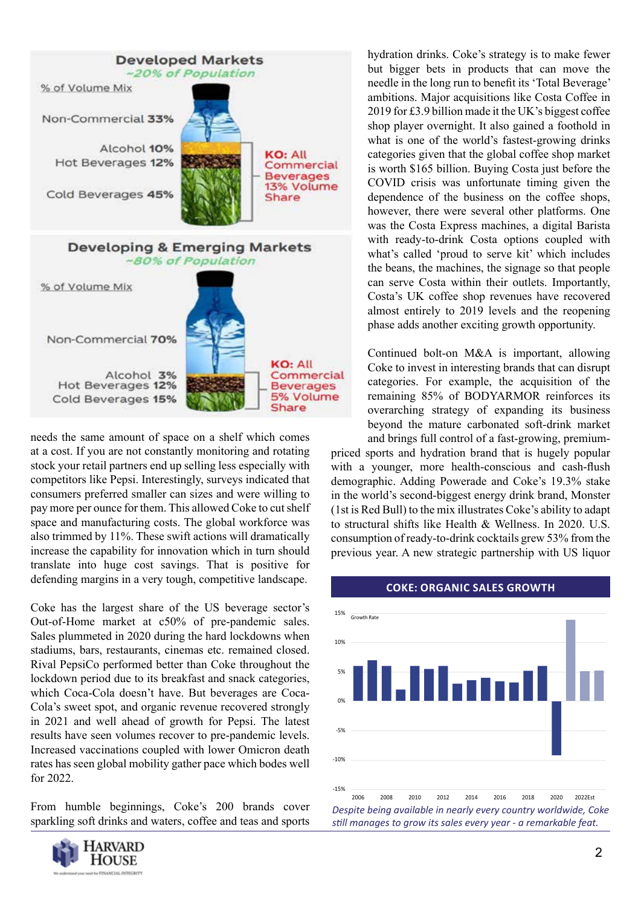

needs the same amount of space on a shelf which comes at a cost. If you are not constantly monitoring and rotating stock your retail partners end up selling less especially with competitors like Pepsi. Interestingly, surveys indicated that consumers preferred smaller can sizes and were willing to pay more per ounce for them. This allowed Coke to cut shelf space and manufacturing costs. The global workforce was also trimmed by 11%. These swift actions will dramatically increase the capability for innovation which in turn should translate into huge cost savings. That is positive for defending margins in a very tough, competitive landscape.

Coke has the largest share of the US beverage sector's Out-of-Home market at c50% of pre-pandemic sales. Sales plummeted in 2020 during the hard lockdowns when stadiums, bars, restaurants, cinemas etc. remained closed. Rival PepsiCo performed better than Coke throughout the lockdown period due to its breakfast and snack categories, which Coca-Cola doesn't have. But beverages are Coca-Cola's sweet spot, and organic revenue recovered strongly in 2021 and well ahead of growth for Pepsi. The latest results have seen volumes recover to pre-pandemic levels. Increased vaccinations coupled with lower Omicron death rates has seen global mobility gather pace which bodes well for 2022.

From humble beginnings, Coke's 200 brands cover sparkling soft drinks and waters, coffee and teas and sports



hydration drinks. Coke's strategy is to make fewer but bigger bets in products that can move the needle in the long run to benefit its 'Total Beverage' ambitions. Major acquisitions like Costa Coffee in 2019 for £3.9 billion made it the UK's biggest coffee shop player overnight. It also gained a foothold in what is one of the world's fastest-growing drinks categories given that the global coffee shop market is worth \$165 billion. Buying Costa just before the COVID crisis was unfortunate timing given the dependence of the business on the coffee shops, however, there were several other platforms. One was the Costa Express machines, a digital Barista with ready-to-drink Costa options coupled with what's called 'proud to serve kit' which includes the beans, the machines, the signage so that people can serve Costa within their outlets. Importantly, Costa's UK coffee shop revenues have recovered almost entirely to 2019 levels and the reopening phase adds another exciting growth opportunity.

Continued bolt-on M&A is important, allowing Coke to invest in interesting brands that can disrupt categories. For example, the acquisition of the remaining 85% of BODYARMOR reinforces its overarching strategy of expanding its business beyond the mature carbonated soft-drink market and brings full control of a fast-growing, premium-

priced sports and hydration brand that is hugely popular with a younger, more health-conscious and cash-flush demographic. Adding Powerade and Coke's 19.3% stake in the world's second-biggest energy drink brand, Monster (1st is Red Bull) to the mix illustrates Coke's ability to adapt to structural shifts like Health & Wellness. In 2020. U.S. consumption of ready-to-drink cocktails grew 53% from the previous year. A new strategic partnership with US liquor



#### **COKE: ORGANIC SALES GROWTH**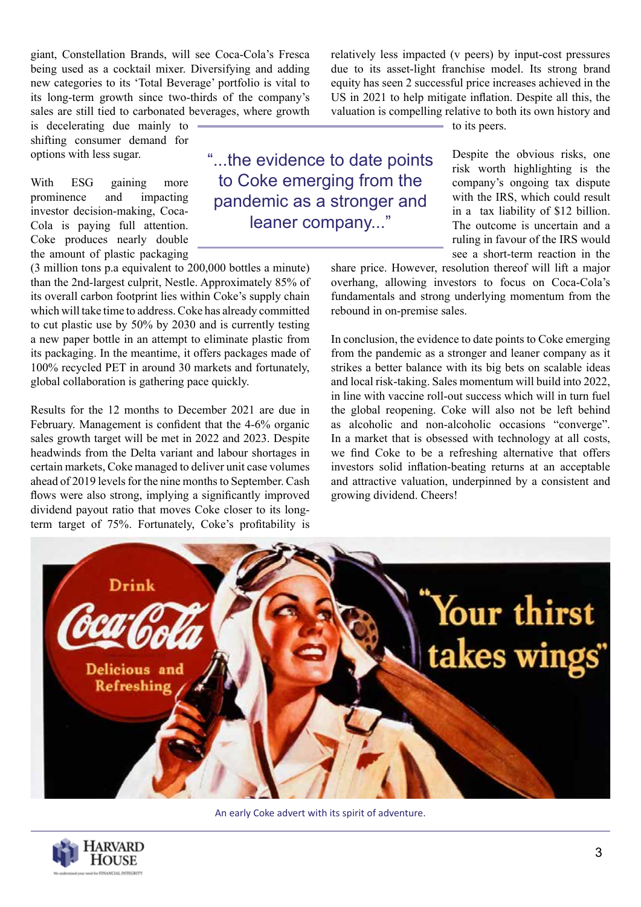giant, Constellation Brands, will see Coca-Cola's Fresca being used as a cocktail mixer. Diversifying and adding new categories to its 'Total Beverage' portfolio is vital to its long-term growth since two-thirds of the company's sales are still tied to carbonated beverages, where growth

is decelerating due mainly to shifting consumer demand for options with less sugar.

With ESG gaining more prominence and impacting investor decision-making, Coca-Cola is paying full attention. Coke produces nearly double the amount of plastic packaging

(3 million tons p.a equivalent to 200,000 bottles a minute) than the 2nd-largest culprit, Nestle. Approximately 85% of its overall carbon footprint lies within Coke's supply chain which will take time to address. Coke has already committed to cut plastic use by 50% by 2030 and is currently testing a new paper bottle in an attempt to eliminate plastic from its packaging. In the meantime, it offers packages made of 100% recycled PET in around 30 markets and fortunately, global collaboration is gathering pace quickly.

Results for the 12 months to December 2021 are due in February. Management is confident that the 4-6% organic sales growth target will be met in 2022 and 2023. Despite headwinds from the Delta variant and labour shortages in certain markets, Coke managed to deliver unit case volumes ahead of 2019 levels for the nine months to September. Cash flows were also strong, implying a significantly improved dividend payout ratio that moves Coke closer to its longterm target of 75%. Fortunately, Coke's profitability is

"...the evidence to date points to Coke emerging from the pandemic as a stronger and leaner company..."

relatively less impacted (v peers) by input-cost pressures due to its asset-light franchise model. Its strong brand equity has seen 2 successful price increases achieved in the US in 2021 to help mitigate inflation. Despite all this, the valuation is compelling relative to both its own history and to its peers.

> Despite the obvious risks, one risk worth highlighting is the company's ongoing tax dispute with the IRS, which could result in a tax liability of \$12 billion. The outcome is uncertain and a ruling in favour of the IRS would see a short-term reaction in the

share price. However, resolution thereof will lift a major overhang, allowing investors to focus on Coca-Cola's fundamentals and strong underlying momentum from the rebound in on-premise sales.

In conclusion, the evidence to date points to Coke emerging from the pandemic as a stronger and leaner company as it strikes a better balance with its big bets on scalable ideas and local risk-taking. Sales momentum will build into 2022, in line with vaccine roll-out success which will in turn fuel the global reopening. Coke will also not be left behind as alcoholic and non-alcoholic occasions "converge". In a market that is obsessed with technology at all costs, we find Coke to be a refreshing alternative that offers investors solid inflation-beating returns at an acceptable and attractive valuation, underpinned by a consistent and growing dividend. Cheers!



An early Coke advert with its spirit of adventure.